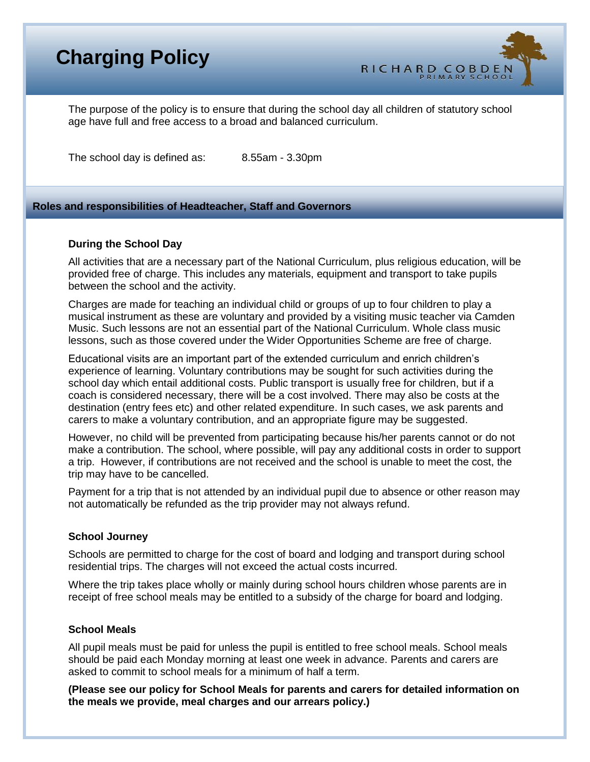# **Charging Policy**



The purpose of the policy is to ensure that during the school day all children of statutory school age have full and free access to a broad and balanced curriculum.

The school day is defined as: 8.55am - 3.30pm

## **Roles and responsibilities of Headteacher, Staff and Governors**

#### **During the School Day**

All activities that are a necessary part of the National Curriculum, plus religious education, will be provided free of charge. This includes any materials, equipment and transport to take pupils between the school and the activity.

Charges are made for teaching an individual child or groups of up to four children to play a musical instrument as these are voluntary and provided by a visiting music teacher via Camden Music. Such lessons are not an essential part of the National Curriculum. Whole class music lessons, such as those covered under the Wider Opportunities Scheme are free of charge.

Educational visits are an important part of the extended curriculum and enrich children's experience of learning. Voluntary contributions may be sought for such activities during the school day which entail additional costs. Public transport is usually free for children, but if a coach is considered necessary, there will be a cost involved. There may also be costs at the destination (entry fees etc) and other related expenditure. In such cases, we ask parents and carers to make a voluntary contribution, and an appropriate figure may be suggested.

However, no child will be prevented from participating because his/her parents cannot or do not make a contribution. The school, where possible, will pay any additional costs in order to support a trip. However, if contributions are not received and the school is unable to meet the cost, the trip may have to be cancelled.

Payment for a trip that is not attended by an individual pupil due to absence or other reason may not automatically be refunded as the trip provider may not always refund.

#### **School Journey**

Schools are permitted to charge for the cost of board and lodging and transport during school residential trips. The charges will not exceed the actual costs incurred.

Where the trip takes place wholly or mainly during school hours children whose parents are in receipt of free school meals may be entitled to a subsidy of the charge for board and lodging.

#### **School Meals**

All pupil meals must be paid for unless the pupil is entitled to free school meals. School meals should be paid each Monday morning at least one week in advance. Parents and carers are asked to commit to school meals for a minimum of half a term.

**(Please see our policy for School Meals for parents and carers for detailed information on the meals we provide, meal charges and our arrears policy.)**